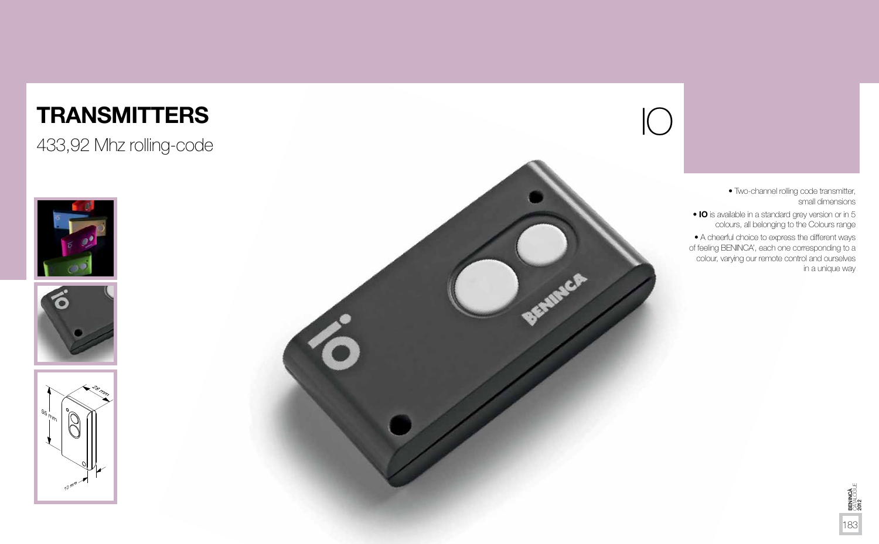## **TRANSMITTERS**



### 433,92 Mhz rolling-code







• Two-channel rolling code transmitter, small dimensions

• **IO** is available in a standard grey version or in 5 colours, all belonging to the Colours range



• A cheerful choice to express the different ways of feeling BENINCA', each one corresponding to a colour, varying our remote control and ourselves in a unique way